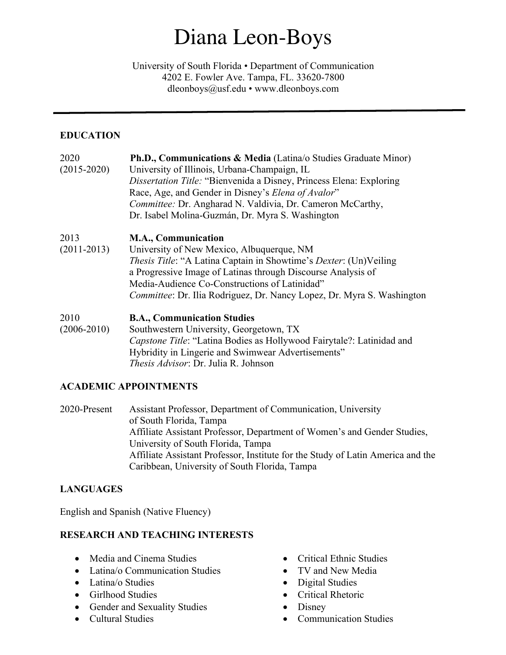# Diana Leon-Boys

University of South Florida • Department of Communication 4202 E. Fowler Ave. Tampa, FL. 33620-7800 dleonboys@usf.edu • www.dleonboys.com

# **EDUCATION**

| 2020            | Ph.D., Communications & Media (Latina/o Studies Graduate Minor)                   |  |
|-----------------|-----------------------------------------------------------------------------------|--|
| $(2015 - 2020)$ | University of Illinois, Urbana-Champaign, IL                                      |  |
|                 | Dissertation Title: "Bienvenida a Disney, Princess Elena: Exploring               |  |
|                 | Race, Age, and Gender in Disney's Elena of Avalor"                                |  |
|                 | Committee: Dr. Angharad N. Valdivia, Dr. Cameron McCarthy,                        |  |
|                 | Dr. Isabel Molina-Guzmán, Dr. Myra S. Washington                                  |  |
| 2013            | <b>M.A., Communication</b>                                                        |  |
| $(2011 - 2013)$ | University of New Mexico, Albuquerque, NM                                         |  |
|                 | <i>Thesis Title</i> : "A Latina Captain in Showtime's <i>Dexter</i> : (Un)Veiling |  |
|                 | a Progressive Image of Latinas through Discourse Analysis of                      |  |
|                 | Media-Audience Co-Constructions of Latinidad"                                     |  |
|                 | <i>Committee: Dr. Ilia Rodriguez, Dr. Nancy Lopez, Dr. Myra S. Washington</i>     |  |
| 2010            | <b>B.A., Communication Studies</b>                                                |  |
| $(2006 - 2010)$ | Southwestern University, Georgetown, TX                                           |  |
|                 | Capstone Title: "Latina Bodies as Hollywood Fairytale?: Latinidad and             |  |
|                 | Hybridity in Lingerie and Swimwear Advertisements"                                |  |
|                 | <i>Thesis Advisor</i> : Dr. Julia R. Johnson                                      |  |

# **ACADEMIC APPOINTMENTS**

2020-Present Assistant Professor, Department of Communication, University of South Florida, Tampa Affiliate Assistant Professor, Department of Women's and Gender Studies, University of South Florida, Tampa Affiliate Assistant Professor, Institute for the Study of Latin America and the Caribbean, University of South Florida, Tampa

# **LANGUAGES**

English and Spanish (Native Fluency)

# **RESEARCH AND TEACHING INTERESTS**

- Media and Cinema Studies
- Latina/o Communication Studies
- Latina/o Studies
- Girlhood Studies
- Gender and Sexuality Studies
- Cultural Studies
- Critical Ethnic Studies
- TV and New Media
- Digital Studies
- Critical Rhetoric
- Disney
- Communication Studies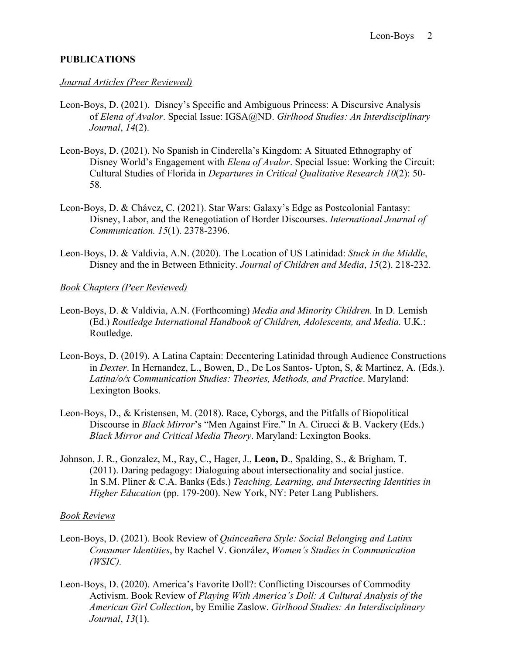### **PUBLICATIONS**

#### *Journal Articles (Peer Reviewed)*

- Leon-Boys, D. (2021). Disney's Specific and Ambiguous Princess: A Discursive Analysis of *Elena of Avalor*. Special Issue: IGSA@ND. *Girlhood Studies: An Interdisciplinary Journal*, *14*(2).
- Leon-Boys, D. (2021). No Spanish in Cinderella's Kingdom: A Situated Ethnography of Disney World's Engagement with *Elena of Avalor*. Special Issue: Working the Circuit: Cultural Studies of Florida in *Departures in Critical Qualitative Research 10*(2): 50- 58.
- Leon-Boys, D. & Chávez, C. (2021). Star Wars: Galaxy's Edge as Postcolonial Fantasy: Disney, Labor, and the Renegotiation of Border Discourses. *International Journal of Communication. 15*(1). 2378-2396.
- Leon-Boys, D. & Valdivia, A.N. (2020). The Location of US Latinidad: *Stuck in the Middle*, Disney and the in Between Ethnicity. *Journal of Children and Media*, *15*(2). 218-232.

#### *Book Chapters (Peer Reviewed)*

- Leon-Boys, D. & Valdivia, A.N. (Forthcoming) *Media and Minority Children.* In D. Lemish (Ed.) *Routledge International Handbook of Children, Adolescents, and Media.* U.K.: Routledge.
- Leon-Boys, D. (2019). A Latina Captain: Decentering Latinidad through Audience Constructions in *Dexter*. In Hernandez, L., Bowen, D., De Los Santos- Upton, S, & Martinez, A. (Eds.). *Latina/o/x Communication Studies: Theories, Methods, and Practice*. Maryland: Lexington Books.
- Leon-Boys, D., & Kristensen, M. (2018). Race, Cyborgs, and the Pitfalls of Biopolitical Discourse in *Black Mirror*'s "Men Against Fire." In A. Cirucci & B. Vackery (Eds.) *Black Mirror and Critical Media Theory*. Maryland: Lexington Books.
- Johnson, J. R., Gonzalez, M., Ray, C., Hager, J., **Leon, D**., Spalding, S., & Brigham, T. (2011). Daring pedagogy: Dialoguing about intersectionality and social justice. In S.M. Pliner & C.A. Banks (Eds.) *Teaching, Learning, and Intersecting Identities in Higher Education* (pp. 179-200). New York, NY: Peter Lang Publishers.

#### *Book Reviews*

- Leon-Boys, D. (2021). Book Review of *Quinceañera Style: Social Belonging and Latinx Consumer Identities*, by Rachel V. González, *Women's Studies in Communication (WSIC).*
- Leon-Boys, D. (2020). America's Favorite Doll?: Conflicting Discourses of Commodity Activism. Book Review of *Playing With America's Doll: A Cultural Analysis of the American Girl Collection*, by Emilie Zaslow. *Girlhood Studies: An Interdisciplinary Journal*, *13*(1).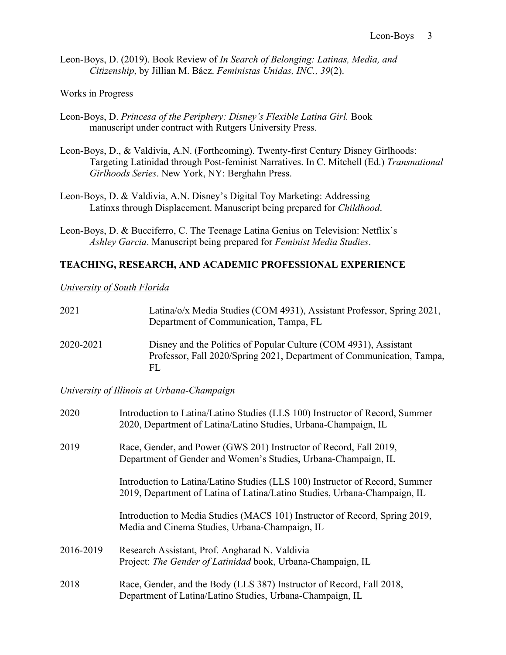Leon-Boys, D. (2019). Book Review of *In Search of Belonging: Latinas, Media, and Citizenship*, by Jillian M. Báez. *Feministas Unidas, INC., 39*(2).

#### Works in Progress

- Leon-Boys, D. *Princesa of the Periphery: Disney's Flexible Latina Girl.* Book manuscript under contract with Rutgers University Press.
- Leon-Boys, D., & Valdivia, A.N. (Forthcoming). Twenty-first Century Disney Girlhoods: Targeting Latinidad through Post-feminist Narratives. In C. Mitchell (Ed.) *Transnational Girlhoods Series*. New York, NY: Berghahn Press.
- Leon-Boys, D. & Valdivia, A.N. Disney's Digital Toy Marketing: Addressing Latinxs through Displacement. Manuscript being prepared for *Childhood*.
- Leon-Boys, D. & Bucciferro, C. The Teenage Latina Genius on Television: Netflix's *Ashley Garcia*. Manuscript being prepared for *Feminist Media Studies*.

#### **TEACHING, RESEARCH, AND ACADEMIC PROFESSIONAL EXPERIENCE**

#### *University of South Florida*

| 2021      | Latina/o/x Media Studies (COM 4931), Assistant Professor, Spring 2021,<br>Department of Communication, Tampa, FL                                |
|-----------|-------------------------------------------------------------------------------------------------------------------------------------------------|
| 2020-2021 | Disney and the Politics of Popular Culture (COM 4931), Assistant<br>Professor, Fall 2020/Spring 2021, Department of Communication, Tampa,<br>FL |

*University of Illinois at Urbana-Champaign* 

| 2020      | Introduction to Latina/Latino Studies (LLS 100) Instructor of Record, Summer<br>2020, Department of Latina/Latino Studies, Urbana-Champaign, IL           |  |
|-----------|-----------------------------------------------------------------------------------------------------------------------------------------------------------|--|
| 2019      | Race, Gender, and Power (GWS 201) Instructor of Record, Fall 2019,<br>Department of Gender and Women's Studies, Urbana-Champaign, IL                      |  |
|           | Introduction to Latina/Latino Studies (LLS 100) Instructor of Record, Summer<br>2019, Department of Latina of Latina/Latino Studies, Urbana-Champaign, IL |  |
|           | Introduction to Media Studies (MACS 101) Instructor of Record, Spring 2019,<br>Media and Cinema Studies, Urbana-Champaign, IL                             |  |
| 2016-2019 | Research Assistant, Prof. Angharad N. Valdivia<br>Project: The Gender of Latinidad book, Urbana-Champaign, IL                                             |  |
| 2018      | Race, Gender, and the Body (LLS 387) Instructor of Record, Fall 2018,<br>Department of Latina/Latino Studies, Urbana-Champaign, IL                        |  |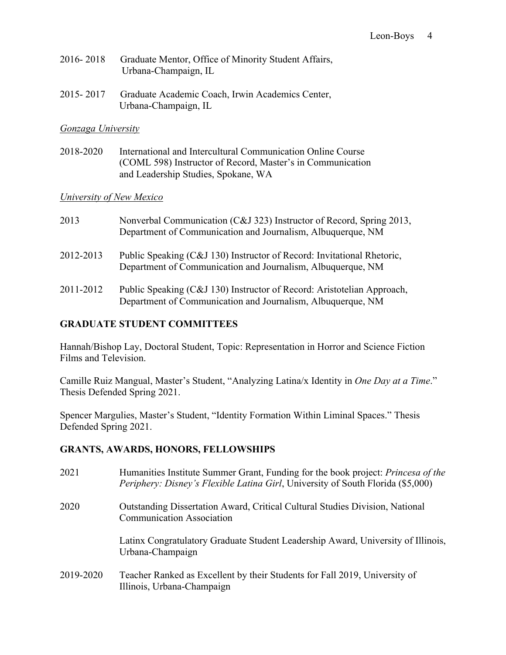| 2016-2018 Graduate Mentor, Office of Minority Student Affairs, |
|----------------------------------------------------------------|
| Urbana-Champaign, IL                                           |

2015- 2017 Graduate Academic Coach, Irwin Academics Center, Urbana-Champaign, IL

#### *Gonzaga University*

2018-2020 International and Intercultural Communication Online Course (COML 598) Instructor of Record, Master's in Communication and Leadership Studies, Spokane, WA

### *University of New Mexico*

| 2013      | Nonverbal Communication (C&J 323) Instructor of Record, Spring 2013,<br>Department of Communication and Journalism, Albuquerque, NM   |
|-----------|---------------------------------------------------------------------------------------------------------------------------------------|
| 2012-2013 | Public Speaking (C&J 130) Instructor of Record: Invitational Rhetoric,<br>Department of Communication and Journalism, Albuquerque, NM |
| 2011-2012 | Public Speaking (C&J 130) Instructor of Record: Aristotelian Approach,<br>Department of Communication and Journalism, Albuquerque, NM |

# **GRADUATE STUDENT COMMITTEES**

Hannah/Bishop Lay, Doctoral Student, Topic: Representation in Horror and Science Fiction Films and Television.

Camille Ruiz Mangual, Master's Student, "Analyzing Latina/x Identity in *One Day at a Time*." Thesis Defended Spring 2021.

Spencer Margulies, Master's Student, "Identity Formation Within Liminal Spaces." Thesis Defended Spring 2021.

### **GRANTS, AWARDS, HONORS, FELLOWSHIPS**

| 2021      | Humanities Institute Summer Grant, Funding for the book project: <i>Princesa of the</i><br><i>Periphery: Disney's Flexible Latina Girl, University of South Florida (\$5,000)</i> |
|-----------|-----------------------------------------------------------------------------------------------------------------------------------------------------------------------------------|
| 2020      | <b>Outstanding Dissertation Award, Critical Cultural Studies Division, National</b><br><b>Communication Association</b>                                                           |
|           | Latinx Congratulatory Graduate Student Leadership Award, University of Illinois,<br>Urbana-Champaign                                                                              |
| 2019-2020 | Teacher Ranked as Excellent by their Students for Fall 2019, University of<br>Illinois, Urbana-Champaign                                                                          |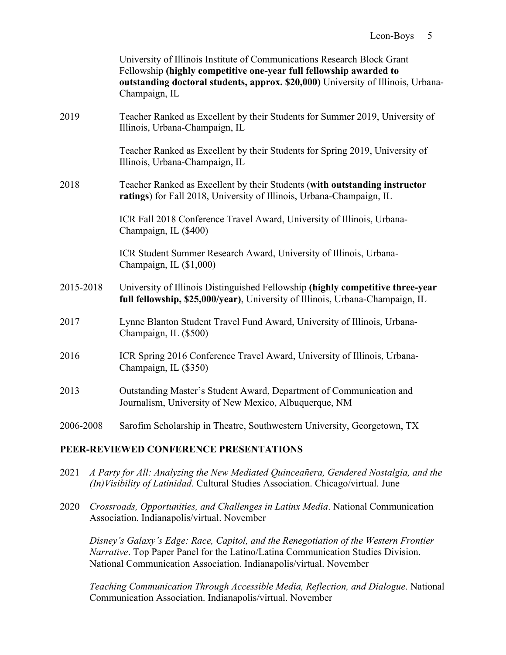|           | University of Illinois Institute of Communications Research Block Grant<br>Fellowship (highly competitive one-year full fellowship awarded to<br>outstanding doctoral students, approx. \$20,000) University of Illinois, Urbana-<br>Champaign, IL |
|-----------|----------------------------------------------------------------------------------------------------------------------------------------------------------------------------------------------------------------------------------------------------|
| 2019      | Teacher Ranked as Excellent by their Students for Summer 2019, University of<br>Illinois, Urbana-Champaign, IL                                                                                                                                     |
|           | Teacher Ranked as Excellent by their Students for Spring 2019, University of<br>Illinois, Urbana-Champaign, IL                                                                                                                                     |
| 2018      | Teacher Ranked as Excellent by their Students (with outstanding instructor<br>ratings) for Fall 2018, University of Illinois, Urbana-Champaign, IL                                                                                                 |
|           | ICR Fall 2018 Conference Travel Award, University of Illinois, Urbana-<br>Champaign, IL (\$400)                                                                                                                                                    |
|           | ICR Student Summer Research Award, University of Illinois, Urbana-<br>Champaign, IL (\$1,000)                                                                                                                                                      |
| 2015-2018 | University of Illinois Distinguished Fellowship (highly competitive three-year<br>full fellowship, \$25,000/year), University of Illinois, Urbana-Champaign, IL                                                                                    |
| 2017      | Lynne Blanton Student Travel Fund Award, University of Illinois, Urbana-<br>Champaign, IL (\$500)                                                                                                                                                  |
| 2016      | ICR Spring 2016 Conference Travel Award, University of Illinois, Urbana-<br>Champaign, IL (\$350)                                                                                                                                                  |
| 2013      | Outstanding Master's Student Award, Department of Communication and<br>Journalism, University of New Mexico, Albuquerque, NM                                                                                                                       |
| 2006-2008 | Sarofim Scholarship in Theatre, Southwestern University, Georgetown, TX                                                                                                                                                                            |

### **PEER-REVIEWED CONFERENCE PRESENTATIONS**

- 2021 *A Party for All: Analyzing the New Mediated Quinceañera, Gendered Nostalgia, and the (In)Visibility of Latinidad*. Cultural Studies Association. Chicago/virtual. June
- 2020 *Crossroads, Opportunities, and Challenges in Latinx Media*. National Communication Association. Indianapolis/virtual. November

*Disney's Galaxy's Edge: Race, Capitol, and the Renegotiation of the Western Frontier Narrative*. Top Paper Panel for the Latino/Latina Communication Studies Division. National Communication Association. Indianapolis/virtual. November

*Teaching Communication Through Accessible Media, Reflection, and Dialogue*. National Communication Association. Indianapolis/virtual. November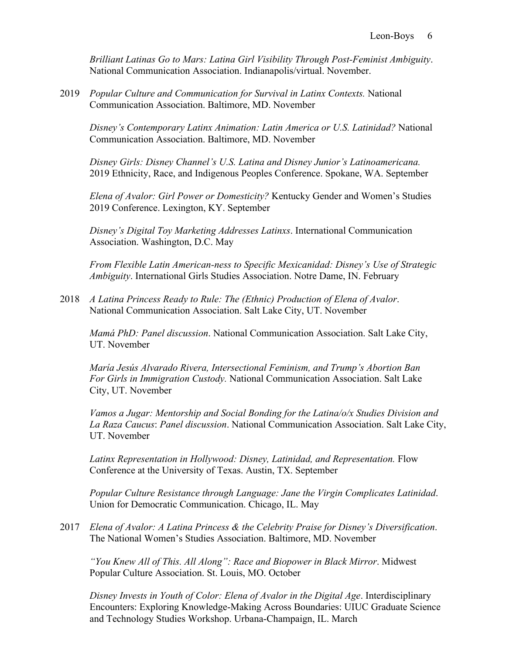*Brilliant Latinas Go to Mars: Latina Girl Visibility Through Post-Feminist Ambiguity*. National Communication Association. Indianapolis/virtual. November.

2019 *Popular Culture and Communication for Survival in Latinx Contexts.* National Communication Association. Baltimore, MD. November

*Disney's Contemporary Latinx Animation: Latin America or U.S. Latinidad?* National Communication Association. Baltimore, MD. November

*Disney Girls: Disney Channel's U.S. Latina and Disney Junior's Latinoamericana.* 2019 Ethnicity, Race, and Indigenous Peoples Conference. Spokane, WA. September

*Elena of Avalor: Girl Power or Domesticity?* Kentucky Gender and Women's Studies 2019 Conference. Lexington, KY. September

*Disney's Digital Toy Marketing Addresses Latinxs*. International Communication Association. Washington, D.C. May

*From Flexible Latin American-ness to Specific Mexicanidad: Disney's Use of Strategic Ambiguity*. International Girls Studies Association. Notre Dame, IN. February

2018 *A Latina Princess Ready to Rule: The (Ethnic) Production of Elena of Avalor*. National Communication Association. Salt Lake City, UT. November

*Mamá PhD: Panel discussion*. National Communication Association. Salt Lake City, UT. November

*María Jesús Alvarado Rivera, Intersectional Feminism, and Trump's Abortion Ban For Girls in Immigration Custody.* National Communication Association. Salt Lake City, UT. November

*Vamos a Jugar: Mentorship and Social Bonding for the Latina/o/x Studies Division and La Raza Caucus*: *Panel discussion*. National Communication Association. Salt Lake City, UT. November

*Latinx Representation in Hollywood: Disney, Latinidad, and Representation.* Flow Conference at the University of Texas. Austin, TX. September

*Popular Culture Resistance through Language: Jane the Virgin Complicates Latinidad*. Union for Democratic Communication. Chicago, IL. May

2017 *Elena of Avalor: A Latina Princess & the Celebrity Praise for Disney's Diversification*. The National Women's Studies Association. Baltimore, MD. November

*"You Knew All of This. All Along": Race and Biopower in Black Mirror*. Midwest Popular Culture Association. St. Louis, MO. October

*Disney Invests in Youth of Color: Elena of Avalor in the Digital Age*. Interdisciplinary Encounters: Exploring Knowledge-Making Across Boundaries: UIUC Graduate Science and Technology Studies Workshop. Urbana-Champaign, IL. March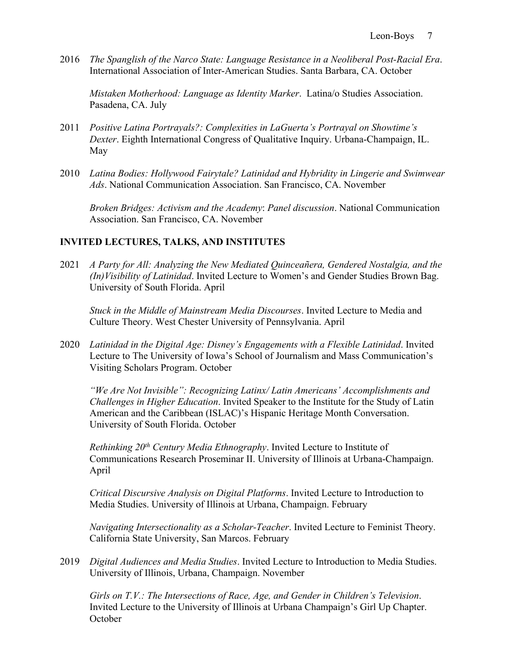2016 *The Spanglish of the Narco State: Language Resistance in a Neoliberal Post-Racial Era*. International Association of Inter-American Studies. Santa Barbara, CA. October

*Mistaken Motherhood: Language as Identity Marker*. Latina/o Studies Association. Pasadena, CA. July

- 2011 *Positive Latina Portrayals?: Complexities in LaGuerta's Portrayal on Showtime's Dexter*. Eighth International Congress of Qualitative Inquiry. Urbana-Champaign, IL. May
- 2010 *Latina Bodies: Hollywood Fairytale? Latinidad and Hybridity in Lingerie and Swimwear Ads*. National Communication Association. San Francisco, CA. November

*Broken Bridges: Activism and the Academy*: *Panel discussion*. National Communication Association. San Francisco, CA. November

### **INVITED LECTURES, TALKS, AND INSTITUTES**

2021 *A Party for All: Analyzing the New Mediated Quinceañera, Gendered Nostalgia, and the (In)Visibility of Latinidad*. Invited Lecture to Women's and Gender Studies Brown Bag. University of South Florida. April

*Stuck in the Middle of Mainstream Media Discourses*. Invited Lecture to Media and Culture Theory. West Chester University of Pennsylvania. April

2020 *Latinidad in the Digital Age: Disney's Engagements with a Flexible Latinidad*. Invited Lecture to The University of Iowa's School of Journalism and Mass Communication's Visiting Scholars Program. October

*"We Are Not Invisible": Recognizing Latinx/ Latin Americans' Accomplishments and Challenges in Higher Education*. Invited Speaker to the Institute for the Study of Latin American and the Caribbean (ISLAC)'s Hispanic Heritage Month Conversation. University of South Florida. October

*Rethinking 20th Century Media Ethnography*. Invited Lecture to Institute of Communications Research Proseminar II. University of Illinois at Urbana-Champaign. April

*Critical Discursive Analysis on Digital Platforms*. Invited Lecture to Introduction to Media Studies. University of Illinois at Urbana, Champaign. February

*Navigating Intersectionality as a Scholar-Teacher*. Invited Lecture to Feminist Theory. California State University, San Marcos. February

2019 *Digital Audiences and Media Studies*. Invited Lecture to Introduction to Media Studies. University of Illinois, Urbana, Champaign. November

*Girls on T.V.: The Intersections of Race, Age, and Gender in Children's Television*. Invited Lecture to the University of Illinois at Urbana Champaign's Girl Up Chapter. **October**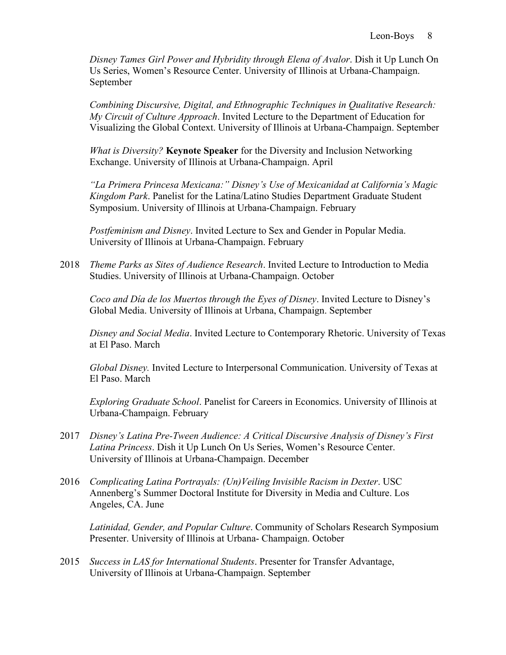*Disney Tames Girl Power and Hybridity through Elena of Avalor*. Dish it Up Lunch On Us Series, Women's Resource Center. University of Illinois at Urbana-Champaign. September

*Combining Discursive, Digital, and Ethnographic Techniques in Qualitative Research: My Circuit of Culture Approach*. Invited Lecture to the Department of Education for Visualizing the Global Context. University of Illinois at Urbana-Champaign. September

*What is Diversity?* **Keynote Speaker** for the Diversity and Inclusion Networking Exchange. University of Illinois at Urbana-Champaign. April

*"La Primera Princesa Mexicana:" Disney's Use of Mexicanidad at California's Magic Kingdom Park*. Panelist for the Latina/Latino Studies Department Graduate Student Symposium. University of Illinois at Urbana-Champaign. February

*Postfeminism and Disney*. Invited Lecture to Sex and Gender in Popular Media. University of Illinois at Urbana-Champaign. February

2018 *Theme Parks as Sites of Audience Research*. Invited Lecture to Introduction to Media Studies. University of Illinois at Urbana-Champaign. October

*Coco and Día de los Muertos through the Eyes of Disney*. Invited Lecture to Disney's Global Media. University of Illinois at Urbana, Champaign. September

*Disney and Social Media*. Invited Lecture to Contemporary Rhetoric. University of Texas at El Paso. March

*Global Disney.* Invited Lecture to Interpersonal Communication. University of Texas at El Paso. March

*Exploring Graduate School*. Panelist for Careers in Economics. University of Illinois at Urbana-Champaign. February

- 2017 *Disney's Latina Pre-Tween Audience: A Critical Discursive Analysis of Disney's First Latina Princess*. Dish it Up Lunch On Us Series, Women's Resource Center. University of Illinois at Urbana-Champaign. December
- 2016 *Complicating Latina Portrayals: (Un)Veiling Invisible Racism in Dexter*. USC Annenberg's Summer Doctoral Institute for Diversity in Media and Culture. Los Angeles, CA. June

*Latinidad, Gender, and Popular Culture*. Community of Scholars Research Symposium Presenter. University of Illinois at Urbana- Champaign. October

2015 *Success in LAS for International Students*. Presenter for Transfer Advantage, University of Illinois at Urbana-Champaign. September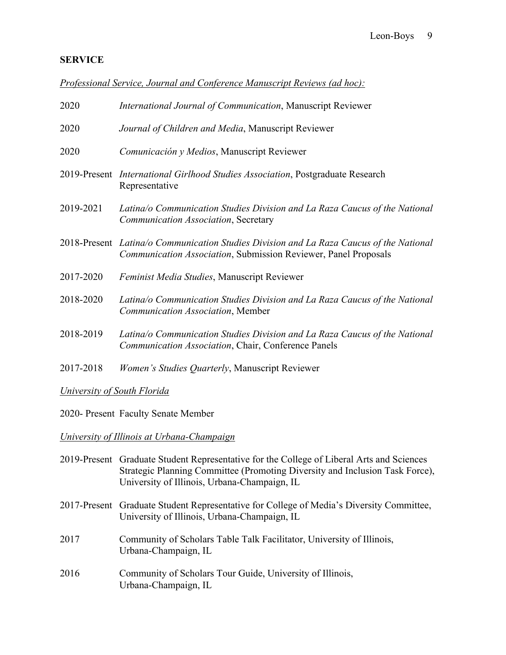# **SERVICE**

*Professional Service, Journal and Conference Manuscript Reviews (ad hoc):*

| 2020                                       | International Journal of Communication, Manuscript Reviewer                                                                                                |  |
|--------------------------------------------|------------------------------------------------------------------------------------------------------------------------------------------------------------|--|
| 2020                                       | Journal of Children and Media, Manuscript Reviewer                                                                                                         |  |
| 2020                                       | Comunicación y Medios, Manuscript Reviewer                                                                                                                 |  |
|                                            | 2019-Present International Girlhood Studies Association, Postgraduate Research<br>Representative                                                           |  |
| 2019-2021                                  | Latina/o Communication Studies Division and La Raza Caucus of the National<br>Communication Association, Secretary                                         |  |
|                                            | 2018-Present Latina/o Communication Studies Division and La Raza Caucus of the National<br>Communication Association, Submission Reviewer, Panel Proposals |  |
| 2017-2020                                  | Feminist Media Studies, Manuscript Reviewer                                                                                                                |  |
| 2018-2020                                  | Latina/o Communication Studies Division and La Raza Caucus of the National<br>Communication Association, Member                                            |  |
| 2018-2019                                  | Latina/o Communication Studies Division and La Raza Caucus of the National<br>Communication Association, Chair, Conference Panels                          |  |
| 2017-2018                                  | Women's Studies Quarterly, Manuscript Reviewer                                                                                                             |  |
| <b>University of South Florida</b>         |                                                                                                                                                            |  |
| 2020- Present Faculty Senate Member        |                                                                                                                                                            |  |
| University of Illinois at Urbana-Champaign |                                                                                                                                                            |  |

- 2019-Present Graduate Student Representative for the College of Liberal Arts and Sciences Strategic Planning Committee (Promoting Diversity and Inclusion Task Force), University of Illinois, Urbana-Champaign, IL
- 2017-Present Graduate Student Representative for College of Media's Diversity Committee, University of Illinois, Urbana-Champaign, IL
- 2017 Community of Scholars Table Talk Facilitator, University of Illinois, Urbana-Champaign, IL
- 2016 Community of Scholars Tour Guide, University of Illinois, Urbana-Champaign, IL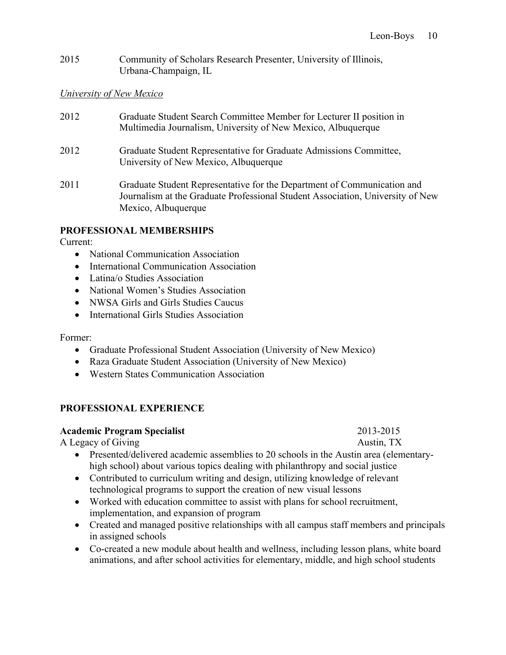2015 Community of Scholars Research Presenter, University of Illinois, Urbana-Champaign, IL

# *University of New Mexico*

| 2012 | Graduate Student Search Committee Member for Lecturer II position in<br>Multimedia Journalism, University of New Mexico, Albuquerque                                             |
|------|----------------------------------------------------------------------------------------------------------------------------------------------------------------------------------|
| 2012 | Graduate Student Representative for Graduate Admissions Committee,<br>University of New Mexico, Albuquerque                                                                      |
| 2011 | Graduate Student Representative for the Department of Communication and<br>Journalism at the Graduate Professional Student Association, University of New<br>Mexico, Albuquerque |

# **PROFESSIONAL MEMBERSHIPS**

Current:

- National Communication Association
- International Communication Association
- Latina/o Studies Association
- National Women's Studies Association
- NWSA Girls and Girls Studies Caucus
- International Girls Studies Association

### Former:

- Graduate Professional Student Association (University of New Mexico)
- Raza Graduate Student Association (University of New Mexico)
- Western States Communication Association

# **PROFESSIONAL EXPERIENCE**

### **Academic Program Specialist** 2013-2015

A Legacy of Giving Austin, TX

- Presented/delivered academic assemblies to 20 schools in the Austin area (elementaryhigh school) about various topics dealing with philanthropy and social justice
- Contributed to curriculum writing and design, utilizing knowledge of relevant technological programs to support the creation of new visual lessons
- Worked with education committee to assist with plans for school recruitment, implementation, and expansion of program
- Created and managed positive relationships with all campus staff members and principals in assigned schools
- Co-created a new module about health and wellness, including lesson plans, white board animations, and after school activities for elementary, middle, and high school students